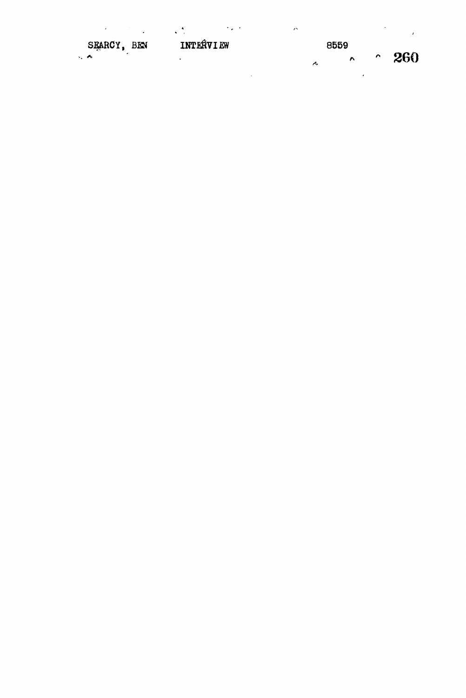| $\bullet$   | $\mathcal{F}$ is a set of $\mathcal{F}$ | $\prime$ |                        |
|-------------|-----------------------------------------|----------|------------------------|
| SEARCY, BEN | <b>INTERVIEW</b>                        | 8559     |                        |
| $\epsilon$  | $\overline{\phantom{a}}$                | ⌒        | 260                    |
| 人人          |                                         | r.,      | $\mathbf{\mathcal{L}}$ |
|             |                                         |          |                        |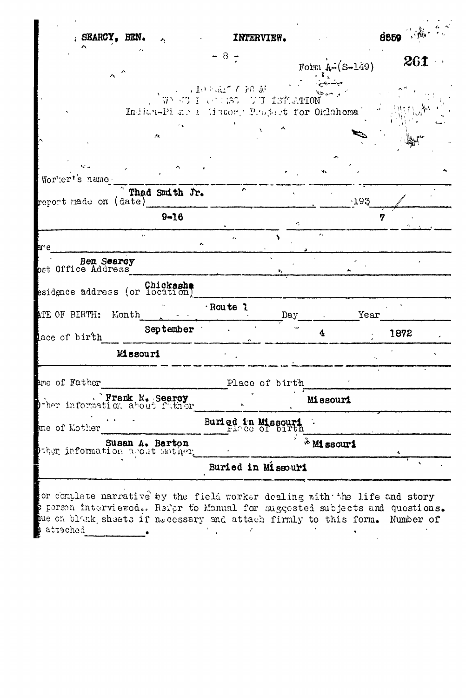| , SEARCY, BEN.<br>$\mathcal{F}_{\mathbf{t}}$                                                                                                                                                                                                     | <b>INTERVIEW.</b>                                                                     |                  | 8559 M     |
|--------------------------------------------------------------------------------------------------------------------------------------------------------------------------------------------------------------------------------------------------|---------------------------------------------------------------------------------------|------------------|------------|
| Л                                                                                                                                                                                                                                                | -8                                                                                    | Form $A-(S-149)$ | <b>261</b> |
|                                                                                                                                                                                                                                                  | ゆのそきで たぶりりまく<br>WESTERCHES UNITSTATION<br>Indian-Pi no 1 (issory Project for Orlahoma | بر سہی شکا       |            |
| n.                                                                                                                                                                                                                                               |                                                                                       |                  |            |
| Wor'er's name.<br>Thad Smith Jr.                                                                                                                                                                                                                 | $\triangleright$                                                                      |                  |            |
| rerort made on (date)<br>$9 - 16$                                                                                                                                                                                                                |                                                                                       | $-193$<br>r,     | 7          |
| br e<br>Ben Searcy                                                                                                                                                                                                                               | $\mathbf{r}$<br>$\mathcal{F}_{\mathbf{x}}$                                            |                  |            |
| ost Office Address<br><b>Chickashe</b><br>esidgnce address (or location)                                                                                                                                                                         |                                                                                       |                  |            |
| ATE OF BIRTH:<br>Month                                                                                                                                                                                                                           | Route 1<br>$\mathbf{p}$                                                               | Year             |            |
| September<br>lace of birth<br>Missouri                                                                                                                                                                                                           |                                                                                       |                  | 1872       |
| ame of Father                                                                                                                                                                                                                                    | Place of birth                                                                        |                  |            |
| . <b>Frank M. Searcy</b><br>Ther information about futher                                                                                                                                                                                        | v                                                                                     | Missouri         |            |
| ame of Mother<br>Susan A. Barton                                                                                                                                                                                                                 | Buried in Missouri                                                                    | $*$ Missouri     |            |
| Dther information about mother                                                                                                                                                                                                                   | Buried in Missouri                                                                    |                  | 4,         |
| for complete narrative by the field worker dealing with the life and story<br>p person interviewed Refer to Manual for suggested subjects and questions.<br>we on blank sheets if necessary and attach firmly to this form.<br><b>s</b> attached |                                                                                       |                  | Number of  |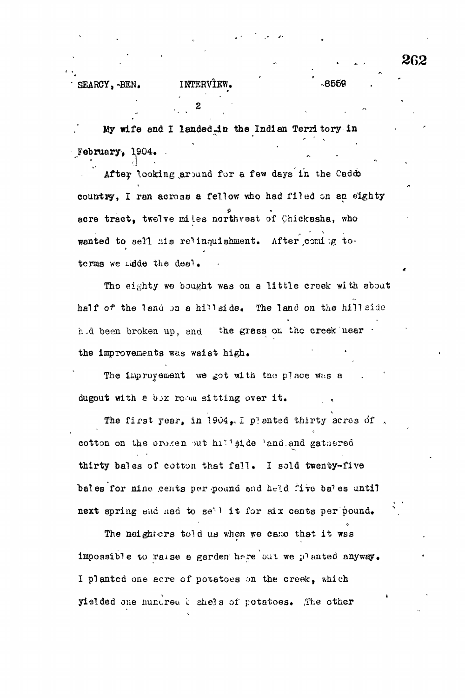262

SEARCY, BEN. INTERVIEW.

## -8559

My wife and I landed in the Indian Territory in February, 1904.

After looking around for a few days in the Cadd country, I ran across a fellow who had filed on an eighty acre tract, twelve miles northvest of Chickasha, who wanted to sell his relinquishment. After coming toterms we midde the deal.

The eighty we bought was on a little creek with about half of the land on a hill side. The land on the hill side hid been broken up, and the grass on the creek near the improvements was waist high.

The improvement we got with the place was a dugout with a box room sitting over it.

The first year, in 1904, I planted thirty acres of cotton on the oroken out hill side land and gathered thirty bales of cotton that fall. I sold twenty-five bales for nine cents per pound and held five bales until next spring and had to sell it for six cents per pound.

The neightors told us when we came that it was impossible to raise a garden here but we planted anyway. I planted one acre of potatoes on the creek, which yielded one nundred i shels of potatoes. The other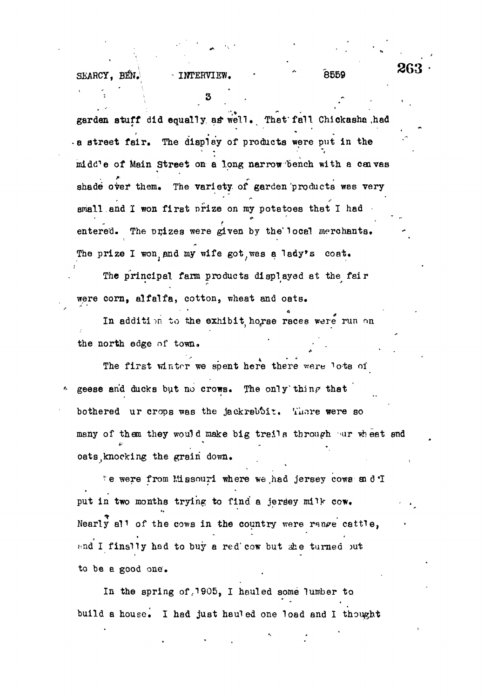garden stuff did equally as well. That fall Chickasha had **« \* a street fair.** The display of products were put in the midd'e of Main Street on a long narrow bench with a canvas shade over them. The variety of garden products was very **\* \*** small and I won first prize on my potatoes that I had entered. The prizes were given by the local merchants. The prize I won and my wife got was a lady's coat.

The principal farm products displayed at the fair were corn, alfalfa, cotton, wheat and oats.

In addition to the exhibit horse races were run on the north edge of town.

The first winter we spent here there were lots of geese and ducks but no crows. The only thing that bothered ur crops was the jackrabbit. There were so many of them they would make big treils through our wheat and many of the make big trails them they would make big trails they would make big trails through ->ur video the<br>Ur video they would make big trails the make big trails the make big trails the make big trails the make big t

"e were from Missouri where we had jersey cows and I put in two months trying to find a jersey milk cow. Nearly all of the cows in the country were range cattle, and I finally had to buy a red cow but she turned out Mnd I finally hod to buy a red'cow but ahe turned Mit

In the spring of 1905, I hauled some lumber to build a house. I had just hauled one load and I thought

build a house. I had just have load and  $\mathcal{L}_{\mathcal{A}}$  thought have load and  $\mathcal{L}_{\mathcal{A}}$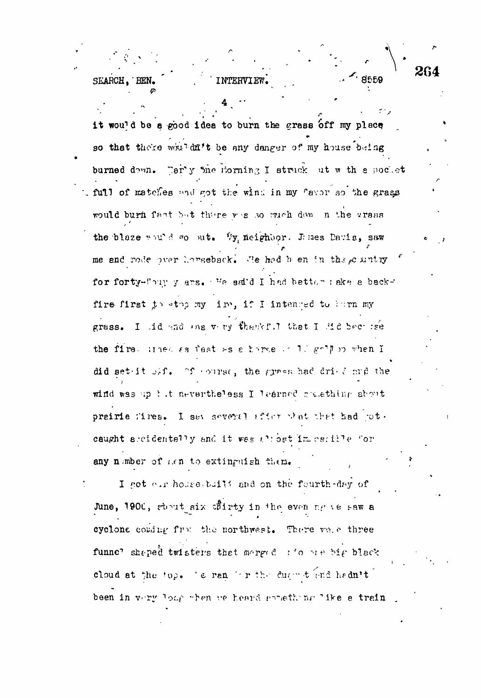SEARCH. ' BEN

it would be a good idea to burn the grass off my place so that there wouldn't be any danger of my house being burned down. Par'y Sne Horning I struck ut w th a pochet full of matches and got the wind in my favor so the grass would burn fact but there we so much dow in the grass the blaze would go sut. Wy neighbor. Jones Davis, saw me and rode over horseback. We had b en in the country for forty-four y ars. We said I had better rake a backfire first to stop my in, if I intended to harm my grass. I lid and ans wery thankful that I Mid because the fire. Here as fast as a here of 10 gril more I did set it off. "frounse, the grass had dried and the wind was up int nevertheless I learned chasthing about prairie fires. I set several after wat that had jot. caught arcidentally and it was thost im escille for any number of nen to extinguish them.

**INTERVIEW.** 

I got our house built and on the fourth-day of June, 1906, gbout six thirty in the even neve saw a cyclone condug from the northwest. There we e three funne' shaped twisters that marged i's we big black cloud at the top. 's ran for the dues thand hadn't been in very long then we heard pomethong like a train 264

8559